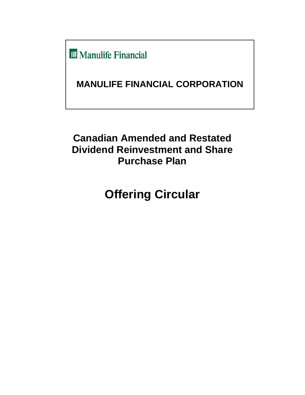**III** Manulife Financial

# **MANULIFE FINANCIAL CORPORATION**

# **Canadian Amended and Restated Dividend Reinvestment and Share Purchase Plan**

# **Offering Circular**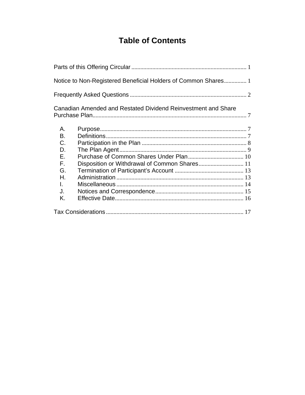# **Table of Contents**

|    | Notice to Non-Registered Beneficial Holders of Common Shares 1 |  |
|----|----------------------------------------------------------------|--|
|    |                                                                |  |
|    | Canadian Amended and Restated Dividend Reinvestment and Share  |  |
| А. |                                                                |  |
| В. |                                                                |  |
| C. |                                                                |  |
| D. |                                                                |  |
| Е. |                                                                |  |
| F. | Disposition or Withdrawal of Common Shares 11                  |  |
| G. |                                                                |  |
| Η. |                                                                |  |
| L. |                                                                |  |
| J. |                                                                |  |
| Κ. |                                                                |  |
|    |                                                                |  |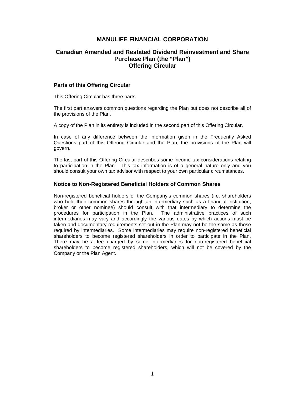# **MANULIFE FINANCIAL CORPORATION**

# **Canadian Amended and Restated Dividend Reinvestment and Share Purchase Plan (the "Plan") Offering Circular**

#### **Parts of this Offering Circular**

This Offering Circular has three parts.

The first part answers common questions regarding the Plan but does not describe all of the provisions of the Plan.

A copy of the Plan in its entirety is included in the second part of this Offering Circular.

In case of any difference between the information given in the Frequently Asked Questions part of this Offering Circular and the Plan, the provisions of the Plan will govern.

The last part of this Offering Circular describes some income tax considerations relating to participation in the Plan. This tax information is of a general nature only and you should consult your own tax advisor with respect to your own particular circumstances.

#### **Notice to Non-Registered Beneficial Holders of Common Shares**

Non-registered beneficial holders of the Company's common shares (i.e. shareholders who hold their common shares through an intermediary such as a financial institution, broker or other nominee) should consult with that intermediary to determine the procedures for participation in the Plan. The administrative practices of such intermediaries may vary and accordingly the various dates by which actions must be taken and documentary requirements set out in the Plan may not be the same as those required by intermediaries. Some intermediaries may require non-registered beneficial shareholders to become registered shareholders in order to participate in the Plan. There may be a fee charged by some intermediaries for non-registered beneficial shareholders to become registered shareholders, which will not be covered by the Company or the Plan Agent.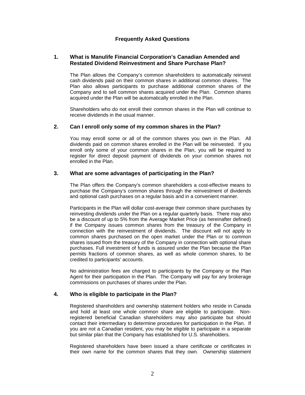# **Frequently Asked Questions**

### **1. What is Manulife Financial Corporation's Canadian Amended and Restated Dividend Reinvestment and Share Purchase Plan?**

The Plan allows the Company's common shareholders to automatically reinvest cash dividends paid on their common shares in additional common shares. The Plan also allows participants to purchase additional common shares of the Company and to sell common shares acquired under the Plan. Common shares acquired under the Plan will be automatically enrolled in the Plan.

Shareholders who do not enroll their common shares in the Plan will continue to receive dividends in the usual manner.

#### **2. Can I enroll only some of my common shares in the Plan?**

You may enroll some or all of the common shares you own in the Plan. All dividends paid on common shares enrolled in the Plan will be reinvested. If you enroll only some of your common shares in the Plan, you will be required to register for direct deposit payment of dividends on your common shares not enrolled in the Plan.

# **3. What are some advantages of participating in the Plan?**

The Plan offers the Company's common shareholders a cost-effective means to purchase the Company's common shares through the reinvestment of dividends and optional cash purchases on a regular basis and in a convenient manner.

Participants in the Plan will dollar cost-average their common share purchases by reinvesting dividends under the Plan on a regular quarterly basis. There may also be a discount of up to 5% from the Average Market Price (as hereinafter defined) if the Company issues common shares from the treasury of the Company in connection with the reinvestment of dividends. The discount will not apply to common shares purchased on the open market under the Plan or to common shares issued from the treasury of the Company in connection with optional share purchases. Full investment of funds is assured under the Plan because the Plan permits fractions of common shares, as well as whole common shares, to be credited to participants' accounts.

No administration fees are charged to participants by the Company or the Plan Agent for their participation in the Plan. The Company will pay for any brokerage commissions on purchases of shares under the Plan.

# **4. Who is eligible to participate in the Plan?**

Registered shareholders and ownership statement holders who reside in Canada and hold at least one whole common share are eligible to participate. Nonregistered beneficial Canadian shareholders may also participate but should contact their intermediary to determine procedures for participation in the Plan. If you are not a Canadian resident, you may be eligible to participate in a separate but similar plan that the Company has established for U.S. shareholders.

Registered shareholders have been issued a share certificate or certificates in their own name for the common shares that they own. Ownership statement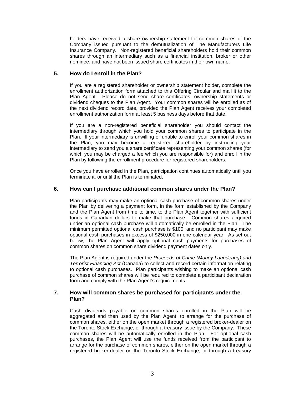holders have received a share ownership statement for common shares of the Company issued pursuant to the demutualization of The Manufacturers Life Insurance Company. Non-registered beneficial shareholders hold their common shares through an intermediary such as a financial institution, broker or other nominee, and have not been issued share certificates in their own name.

# **5. How do I enroll in the Plan?**

If you are a registered shareholder or ownership statement holder, complete the enrollment authorization form attached to this Offering Circular and mail it to the Plan Agent. Please do not send share certificates, ownership statements or dividend cheques to the Plan Agent. Your common shares will be enrolled as of the next dividend record date, provided the Plan Agent receives your completed enrollment authorization form at least 5 business days before that date.

If you are a non-registered beneficial shareholder you should contact the intermediary through which you hold your common shares to participate in the Plan. If your intermediary is unwilling or unable to enroll your common shares in the Plan, you may become a registered shareholder by instructing your intermediary to send you a share certificate representing your common shares (for which you may be charged a fee which you are responsible for) and enroll in the Plan by following the enrollment procedure for registered shareholders.

Once you have enrolled in the Plan, participation continues automatically until you terminate it, or until the Plan is terminated.

# **6. How can I purchase additional common shares under the Plan?**

Plan participants may make an optional cash purchase of common shares under the Plan by delivering a payment form, in the form established by the Company and the Plan Agent from time to time, to the Plan Agent together with sufficient funds in Canadian dollars to make that purchase. Common shares acquired under an optional cash purchase will automatically be enrolled in the Plan. The minimum permitted optional cash purchase is \$100, and no participant may make optional cash purchases in excess of \$250,000 in one calendar year. As set out below, the Plan Agent will apply optional cash payments for purchases of common shares on common share dividend payment dates only.

The Plan Agent is required under the *Proceeds of Crime (Money Laundering) and Terrorist Financing Act* (Canada) to collect and record certain information relating to optional cash purchases. Plan participants wishing to make an optional cash purchase of common shares will be required to complete a participant declaration form and comply with the Plan Agent's requirements.

# **7. How will common shares be purchased for participants under the Plan?**

Cash dividends payable on common shares enrolled in the Plan will be aggregated and then used by the Plan Agent, to arrange for the purchase of common shares, either on the open market through a registered broker-dealer on the Toronto Stock Exchange, or through a treasury issue by the Company. These common shares will be automatically enrolled in the Plan. For optional cash purchases, the Plan Agent will use the funds received from the participant to arrange for the purchase of common shares, either on the open market through a registered broker-dealer on the Toronto Stock Exchange, or through a treasury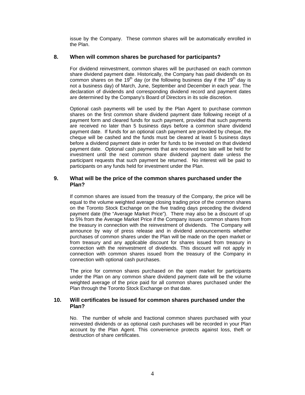issue by the Company. These common shares will be automatically enrolled in the Plan.

# **8. When will common shares be purchased for participants?**

For dividend reinvestment, common shares will be purchased on each common share dividend payment date. Historically, the Company has paid dividends on its common shares on the 19<sup>th</sup> day (or the following business day if the 19<sup>th</sup> day is not a business day) of March, June, September and December in each year. The declaration of dividends and corresponding dividend record and payment dates are determined by the Company's Board of Directors in its sole discretion.

Optional cash payments will be used by the Plan Agent to purchase common shares on the first common share dividend payment date following receipt of a payment form and cleared funds for such payment, provided that such payments are received no later than 5 business days before a common share dividend payment date. If funds for an optional cash payment are provided by cheque, the cheque will be cashed and the funds must be cleared at least 5 business days before a dividend payment date in order for funds to be invested on that dividend payment date. Optional cash payments that are received too late will be held for investment until the next common share dividend payment date unless the participant requests that such payment be returned. No interest will be paid to participants on any funds held for investment under the Plan.

# **9. What will be the price of the common shares purchased under the Plan?**

If common shares are issued from the treasury of the Company, the price will be equal to the volume weighted average closing trading price of the common shares on the Toronto Stock Exchange on the five trading days preceding the dividend payment date (the "Average Market Price"). There may also be a discount of up to 5% from the Average Market Price if the Company issues common shares from the treasury in connection with the reinvestment of dividends. The Company will announce by way of press release and in dividend announcements whether purchases of common shares under the Plan will be made on the open market or from treasury and any applicable discount for shares issued from treasury in connection with the reinvestment of dividends. This discount will not apply in connection with common shares issued from the treasury of the Company in connection with optional cash purchases.

The price for common shares purchased on the open market for participants under the Plan on any common share dividend payment date will be the volume weighted average of the price paid for all common shares purchased under the Plan through the Toronto Stock Exchange on that date.

# **10. Will certificates be issued for common shares purchased under the Plan?**

No. The number of whole and fractional common shares purchased with your reinvested dividends or as optional cash purchases will be recorded in your Plan account by the Plan Agent. This convenience protects against loss, theft or destruction of share certificates.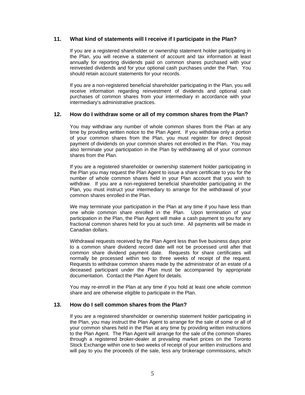# **11. What kind of statements will I receive if I participate in the Plan?**

If you are a registered shareholder or ownership statement holder participating in the Plan, you will receive a statement of account and tax information at least annually for reporting dividends paid on common shares purchased with your reinvested dividends and for your optional cash purchases under the Plan. You should retain account statements for your records.

If you are a non-registered beneficial shareholder participating in the Plan, you will receive information regarding reinvestment of dividends and optional cash purchases of common shares from your intermediary in accordance with your intermediary's administrative practices.

#### **12. How do I withdraw some or all of my common shares from the Plan?**

You may withdraw any number of whole common shares from the Plan at any time by providing written notice to the Plan Agent. If you withdraw only a portion of your common shares from the Plan, you must register for direct deposit payment of dividends on your common shares not enrolled in the Plan. You may also terminate your participation in the Plan by withdrawing all of your common shares from the Plan.

If you are a registered shareholder or ownership statement holder participating in the Plan you may request the Plan Agent to issue a share certificate to you for the number of whole common shares held in your Plan account that you wish to withdraw. If you are a non-registered beneficial shareholder participating in the Plan, you must instruct your intermediary to arrange for the withdrawal of your common shares enrolled in the Plan.

We may terminate your participation in the Plan at any time if you have less than one whole common share enrolled in the Plan. Upon termination of your participation in the Plan, the Plan Agent will make a cash payment to you for any fractional common shares held for you at such time. All payments will be made in Canadian dollars.

Withdrawal requests received by the Plan Agent less than five business days prior to a common share dividend record date will not be processed until after that common share dividend payment date. Requests for share certificates will normally be processed within two to three weeks of receipt of the request. Requests to withdraw common shares made by the administrator of an estate of a deceased participant under the Plan must be accompanied by appropriate documentation. Contact the Plan Agent for details.

You may re-enroll in the Plan at any time if you hold at least one whole common share and are otherwise eligible to participate in the Plan.

# **13. How do I sell common shares from the Plan?**

If you are a registered shareholder or ownership statement holder participating in the Plan, you may instruct the Plan Agent to arrange for the sale of some or all of your common shares held in the Plan at any time by providing written instructions to the Plan Agent. The Plan Agent will arrange for the sale of the common shares through a registered broker-dealer at prevailing market prices on the Toronto Stock Exchange within one to two weeks of receipt of your written instructions and will pay to you the proceeds of the sale, less any brokerage commissions, which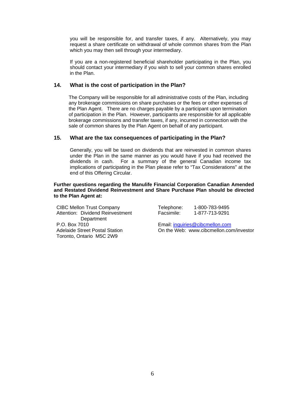you will be responsible for, and transfer taxes, if any. Alternatively, you may request a share certificate on withdrawal of whole common shares from the Plan which you may then sell through your intermediary.

If you are a non-registered beneficial shareholder participating in the Plan, you should contact your intermediary if you wish to sell your common shares enrolled in the Plan.

#### **14. What is the cost of participation in the Plan?**

The Company will be responsible for all administrative costs of the Plan, including any brokerage commissions on share purchases or the fees or other expenses of the Plan Agent. There are no charges payable by a participant upon termination of participation in the Plan. However, participants are responsible for all applicable brokerage commissions and transfer taxes, if any, incurred in connection with the sale of common shares by the Plan Agent on behalf of any participant.

# **15. What are the tax consequences of participating in the Plan?**

Generally, you will be taxed on dividends that are reinvested in common shares under the Plan in the same manner as you would have if you had received the dividends in cash. For a summary of the general Canadian income tax implications of participating in the Plan please refer to "Tax Considerations" at the end of this Offering Circular.

#### **Further questions regarding the Manulife Financial Corporation Canadian Amended and Restated Dividend Reinvestment and Share Purchase Plan should be directed to the Plan Agent at:**

CIBC Mellon Trust Company Attention: Dividend Reinvestment **Department** P.O. Box 7010 Adelaide Street Postal Station Toronto, Ontario M5C 2W9

Telephone: 1-800-783-9495 Facsimile: 1-877-713-9291

Email: inquiries@cibcmellon.com On the Web: www.cibcmellon.com/investor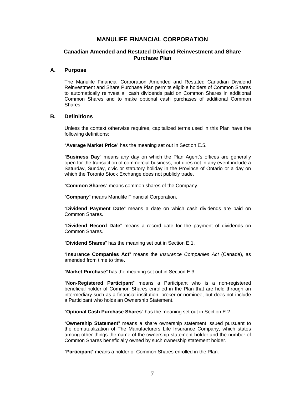# **MANULIFE FINANCIAL CORPORATION**

# **Canadian Amended and Restated Dividend Reinvestment and Share Purchase Plan**

#### **A. Purpose**

The Manulife Financial Corporation Amended and Restated Canadian Dividend Reinvestment and Share Purchase Plan permits eligible holders of Common Shares to automatically reinvest all cash dividends paid on Common Shares in additional Common Shares and to make optional cash purchases of additional Common Shares.

#### **B. Definitions**

Unless the context otherwise requires, capitalized terms used in this Plan have the following definitions:

"**Average Market Price**" has the meaning set out in Section E.5.

"**Business Day**" means any day on which the Plan Agent's offices are generally open for the transaction of commercial business, but does not in any event include a Saturday, Sunday, civic or statutory holiday in the Province of Ontario or a day on which the Toronto Stock Exchange does not publicly trade.

"**Common Shares**" means common shares of the Company.

"**Company**" means Manulife Financial Corporation.

"**Dividend Payment Date**" means a date on which cash dividends are paid on Common Shares.

"**Dividend Record Date**" means a record date for the payment of dividends on Common Shares.

"**Dividend Shares**" has the meaning set out in Section E.1.

"**Insurance Companies Act**" means the *Insurance Companies Act* (Canada), as amended from time to time.

"**Market Purchase**" has the meaning set out in Section E.3.

"**Non-Registered Participant**" means a Participant who is a non-registered beneficial holder of Common Shares enrolled in the Plan that are held through an intermediary such as a financial institution, broker or nominee, but does not include a Participant who holds an Ownership Statement.

"**Optional Cash Purchase Shares**" has the meaning set out in Section E.2.

"**Ownership Statement**" means a share ownership statement issued pursuant to the demutualization of The Manufacturers Life Insurance Company, which states among other things the name of the ownership statement holder and the number of Common Shares beneficially owned by such ownership statement holder.

"**Participant**" means a holder of Common Shares enrolled in the Plan.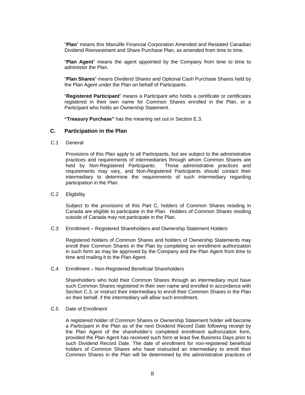"**Plan**" means this Manulife Financial Corporation Amended and Restated Canadian Dividend Reinvestment and Share Purchase Plan, as amended from time to time.

"**Plan Agent**" means the agent appointed by the Company from time to time to administer the Plan.

"**Plan Shares**" means Dividend Shares and Optional Cash Purchase Shares held by the Plan Agent under the Plan on behalf of Participants.

"**Registered Participant**" means a Participant who holds a certificate or certificates registered in their own name for Common Shares enrolled in the Plan, or a Participant who holds an Ownership Statement.

**"Treasury Purchase"** has the meaning set out in Section E.3.

#### **C. Participation in the Plan**

C.1 General

Provisions of this Plan apply to all Participants, but are subject to the administrative practices and requirements of intermediaries through whom Common Shares are held by Non-Registered Participants. Those administrative practices and held by Non-Registered Participants. requirements may vary, and Non-Registered Participants should contact their intermediary to determine the requirements of such intermediary regarding participation in the Plan.

#### C.2 Eligibility

Subject to the provisions of this Part C, holders of Common Shares residing in Canada are eligible to participate in the Plan. Holders of Common Shares residing outside of Canada may not participate in the Plan.

C.3 Enrollment – Registered Shareholders and Ownership Statement Holders

Registered holders of Common Shares and holders of Ownership Statements may enroll their Common Shares in the Plan by completing an enrollment authorization in such form as may be approved by the Company and the Plan Agent from time to time and mailing it to the Plan Agent.

C.4 Enrollment – Non-Registered Beneficial Shareholders

Shareholders who hold their Common Shares through an intermediary must have such Common Shares registered in their own name and enrolled in accordance with Section C.3, or instruct their intermediary to enroll their Common Shares in the Plan on their behalf, if the intermediary will allow such enrollment.

C.5 Date of Enrollment

A registered holder of Common Shares or Ownership Statement holder will become a Participant in the Plan as of the next Dividend Record Date following receipt by the Plan Agent of the shareholder's completed enrollment authorization form, provided the Plan Agent has received such form at least five Business Days prior to such Dividend Record Date. The date of enrollment for non-registered beneficial holders of Common Shares who have instructed an intermediary to enroll their Common Shares in the Plan will be determined by the administrative practices of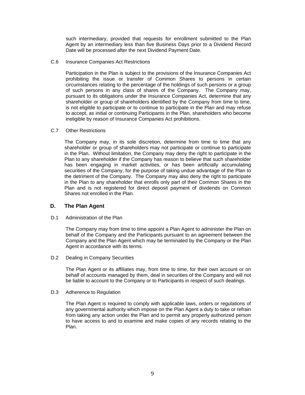such intermediary, provided that requests for enrollment submitted to the Plan Agent by an intermediary less than five Business Days prior to a Dividend Record Date will be processed after the next Dividend Payment Date.

C.6 Insurance Companies Act Restrictions

Participation in the Plan is subject to the provisions of the Insurance Companies Act prohibiting the issue or transfer of Common Shares to persons in certain circumstances relating to the percentage of the holdings of such persons or a group of such persons in any class of shares of the Company. The Company may, pursuant to its obligations under the Insurance Companies Act, determine that any shareholder or group of shareholders identified by the Company from time to time, is not eligible to participate or to continue to participate in the Plan and may refuse to accept, as initial or continuing Participants in the Plan, shareholders who become ineligible by reason of Insurance Companies Act prohibitions.

#### C.7 Other Restrictions

The Company may, in its sole discretion, determine from time to time that any shareholder or group of shareholders may not participate or continue to participate in the Plan. Without limitation, the Company may deny the right to participate in the Plan to any shareholder if the Company has reason to believe that such shareholder has been engaging in market activities, or has been artificially accumulating securities of the Company, for the purpose of taking undue advantage of the Plan to the detriment of the Company. The Company may also deny the right to participate in the Plan to any shareholder that enrolls only part of their Common Shares in the Plan and is not registered for direct deposit payment of dividends on Common Shares not enrolled in the Plan.

#### **D. The Plan Agent**

#### D.1 Administration of the Plan

The Company may from time to time appoint a Plan Agent to administer the Plan on behalf of the Company and the Participants pursuant to an agreement between the Company and the Plan Agent which may be terminated by the Company or the Plan Agent in accordance with its terms.

D.2 Dealing in Company Securities

The Plan Agent or its affiliates may, from time to time, for their own account or on behalf of accounts managed by them, deal in securities of the Company and will not be liable to account to the Company or to Participants in respect of such dealings.

D.3 Adherence to Regulation

The Plan Agent is required to comply with applicable laws, orders or regulations of any governmental authority which impose on the Plan Agent a duty to take or refrain from taking any action under the Plan and to permit any properly authorized person to have access to and to examine and make copies of any records relating to the Plan.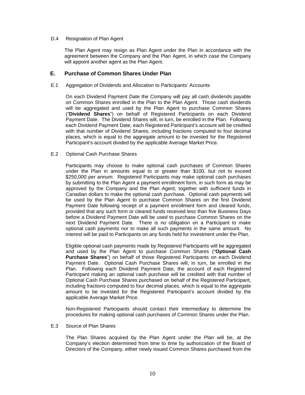#### D.4 Resignation of Plan Agent

The Plan Agent may resign as Plan Agent under the Plan in accordance with the agreement between the Company and the Plan Agent, in which case the Company will appoint another agent as the Plan Agent.

# **E. Purchase of Common Shares Under Plan**

#### E.1 Aggregation of Dividends and Allocation to Participants' Accounts

On each Dividend Payment Date the Company will pay all cash dividends payable on Common Shares enrolled in the Plan to the Plan Agent. Those cash dividends will be aggregated and used by the Plan Agent to purchase Common Shares ("**Dividend Shares**") on behalf of Registered Participants on each Dividend Payment Date. The Dividend Shares will, in turn, be enrolled in the Plan. Following each Dividend Payment Date, each Registered Participant's account will be credited with that number of Dividend Shares, including fractions computed to four decimal places, which is equal to the aggregate amount to be invested for the Registered Participant's account divided by the applicable Average Market Price.

#### E.2 Optional Cash Purchase Shares

Participants may choose to make optional cash purchases of Common Shares under the Plan in amounts equal to or greater than \$100, but not to exceed \$250,000 per annum. Registered Participants may make optional cash purchases by submitting to the Plan Agent a payment enrollment form, in such form as may be approved by the Company and the Plan Agent, together with sufficient funds in Canadian dollars to make the optional cash purchase. Optional cash payments will be used by the Plan Agent to purchase Common Shares on the first Dividend Payment Date following receipt of a payment enrollment form and cleared funds, provided that any such form or cleared funds received less than five Business Days before a Dividend Payment Date will be used to purchase Common Shares on the next Dividend Payment Date. There is no obligation on a Participant to make optional cash payments nor to make all such payments in the same amount. No interest will be paid to Participants on any funds held for investment under the Plan.

Eligible optional cash payments made by Registered Participants will be aggregated and used by the Plan Agent to purchase Common Shares ("**Optional Cash Purchase Shares**") on behalf of those Registered Participants on each Dividend Payment Date. Optional Cash Purchase Shares will, in turn, be enrolled in the Plan. Following each Dividend Payment Date, the account of each Registered Participant making an optional cash purchase will be credited with that number of Optional Cash Purchase Shares purchased on behalf of the Registered Participant, including fractions computed to four decimal places, which is equal to the aggregate amount to be invested for the Registered Participant's account divided by the applicable Average Market Price.

Non-Registered Participants should contact their intermediary to determine the procedures for making optional cash purchases of Common Shares under the Plan.

#### E.3 Source of Plan Shares

The Plan Shares acquired by the Plan Agent under the Plan will be, at the Company's election determined from time to time by authorization of the Board of Directors of the Company, either newly issued Common Shares purchased from the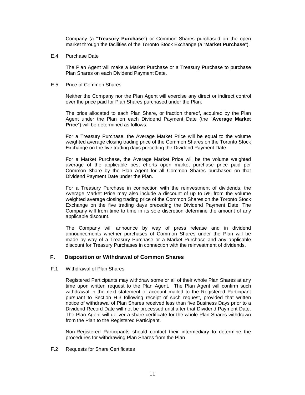Company (a "**Treasury Purchase**") or Common Shares purchased on the open market through the facilities of the Toronto Stock Exchange (a "**Market Purchase**").

#### E.4 Purchase Date

The Plan Agent will make a Market Purchase or a Treasury Purchase to purchase Plan Shares on each Dividend Payment Date.

#### E.5 Price of Common Shares

Neither the Company nor the Plan Agent will exercise any direct or indirect control over the price paid for Plan Shares purchased under the Plan.

The price allocated to each Plan Share, or fraction thereof, acquired by the Plan Agent under the Plan on each Dividend Payment Date (the "**Average Market Price**") will be determined as follows:

For a Treasury Purchase, the Average Market Price will be equal to the volume weighted average closing trading price of the Common Shares on the Toronto Stock Exchange on the five trading days preceding the Dividend Payment Date.

For a Market Purchase, the Average Market Price will be the volume weighted average of the applicable best efforts open market purchase price paid per Common Share by the Plan Agent for all Common Shares purchased on that Dividend Payment Date under the Plan.

For a Treasury Purchase in connection with the reinvestment of dividends, the Average Market Price may also include a discount of up to 5% from the volume weighted average closing trading price of the Common Shares on the Toronto Stock Exchange on the five trading days preceding the Dividend Payment Date. The Company will from time to time in its sole discretion determine the amount of any applicable discount.

The Company will announce by way of press release and in dividend announcements whether purchases of Common Shares under the Plan will be made by way of a Treasury Purchase or a Market Purchase and any applicable discount for Treasury Purchases in connection with the reinvestment of dividends.

#### **F. Disposition or Withdrawal of Common Shares**

F.1 Withdrawal of Plan Shares

Registered Participants may withdraw some or all of their whole Plan Shares at any time upon written request to the Plan Agent. The Plan Agent will confirm such withdrawal in the next statement of account mailed to the Registered Participant pursuant to Section H.3 following receipt of such request, provided that written notice of withdrawal of Plan Shares received less than five Business Days prior to a Dividend Record Date will not be processed until after that Dividend Payment Date. The Plan Agent will deliver a share certificate for the whole Plan Shares withdrawn from the Plan to the Registered Participant.

Non-Registered Participants should contact their intermediary to determine the procedures for withdrawing Plan Shares from the Plan.

#### F.2 Requests for Share Certificates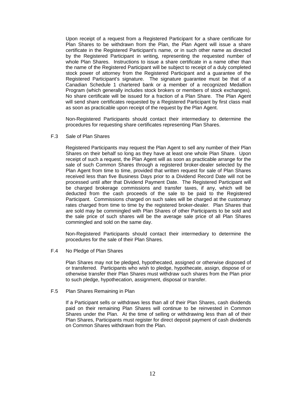Upon receipt of a request from a Registered Participant for a share certificate for Plan Shares to be withdrawn from the Plan, the Plan Agent will issue a share certificate in the Registered Participant's name, or in such other name as directed by the Registered Participant in writing, representing the requested number of whole Plan Shares. Instructions to issue a share certificate in a name other than the name of the Registered Participant will be subject to receipt of a duly completed stock power of attorney from the Registered Participant and a guarantee of the Registered Participant's signature. The signature guarantee must be that of a Canadian Schedule 1 chartered bank or a member of a recognized Medallion Program (which generally includes stock brokers or members of stock exchanges). No share certificate will be issued for a fraction of a Plan Share. The Plan Agent will send share certificates requested by a Registered Participant by first class mail as soon as practicable upon receipt of the request by the Plan Agent.

Non-Registered Participants should contact their intermediary to determine the procedures for requesting share certificates representing Plan Shares.

#### F.3 Sale of Plan Shares

Registered Participants may request the Plan Agent to sell any number of their Plan Shares on their behalf so long as they have at least one whole Plan Share. Upon receipt of such a request, the Plan Agent will as soon as practicable arrange for the sale of such Common Shares through a registered broker-dealer selected by the Plan Agent from time to time, provided that written request for sale of Plan Shares received less than five Business Days prior to a Dividend Record Date will not be processed until after that Dividend Payment Date. The Registered Participant will be charged brokerage commissions and transfer taxes, if any, which will be deducted from the cash proceeds of the sale to be paid to the Registered Participant. Commissions charged on such sales will be charged at the customary rates charged from time to time by the registered broker-dealer. Plan Shares that are sold may be commingled with Plan Shares of other Participants to be sold and the sale price of such shares will be the average sale price of all Plan Shares commingled and sold on the same day.

Non-Registered Participants should contact their intermediary to determine the procedures for the sale of their Plan Shares.

F.4 No Pledge of Plan Shares

Plan Shares may not be pledged, hypothecated, assigned or otherwise disposed of or transferred. Participants who wish to pledge, hypothecate, assign, dispose of or otherwise transfer their Plan Shares must withdraw such shares from the Plan prior to such pledge, hypothecation, assignment, disposal or transfer.

F.5 Plan Shares Remaining in Plan

If a Participant sells or withdraws less than all of their Plan Shares, cash dividends paid on their remaining Plan Shares will continue to be reinvested in Common Shares under the Plan. At the time of selling or withdrawing less than all of their Plan Shares, Participants must register for direct deposit payment of cash dividends on Common Shares withdrawn from the Plan.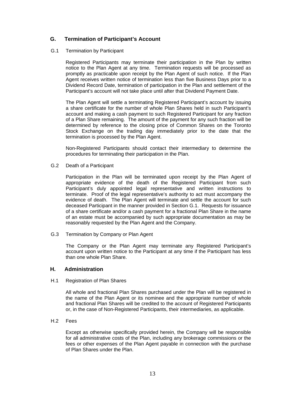# **G. Termination of Participant's Account**

#### G.1 Termination by Participant

Registered Participants may terminate their participation in the Plan by written notice to the Plan Agent at any time. Termination requests will be processed as promptly as practicable upon receipt by the Plan Agent of such notice. If the Plan Agent receives written notice of termination less than five Business Days prior to a Dividend Record Date, termination of participation in the Plan and settlement of the Participant's account will not take place until after that Dividend Payment Date.

The Plan Agent will settle a terminating Registered Participant's account by issuing a share certificate for the number of whole Plan Shares held in such Participant's account and making a cash payment to such Registered Participant for any fraction of a Plan Share remaining. The amount of the payment for any such fraction will be determined by reference to the closing price of Common Shares on the Toronto Stock Exchange on the trading day immediately prior to the date that the termination is processed by the Plan Agent.

Non-Registered Participants should contact their intermediary to determine the procedures for terminating their participation in the Plan.

G.2 Death of a Participant

Participation in the Plan will be terminated upon receipt by the Plan Agent of appropriate evidence of the death of the Registered Participant from such Participant's duly appointed legal representative and written instructions to terminate. Proof of the legal representative's authority to act must accompany the evidence of death. The Plan Agent will terminate and settle the account for such deceased Participant in the manner provided in Section G.1. Requests for issuance of a share certificate and/or a cash payment for a fractional Plan Share in the name of an estate must be accompanied by such appropriate documentation as may be reasonably requested by the Plan Agent and the Company.

G.3 Termination by Company or Plan Agent

The Company or the Plan Agent may terminate any Registered Participant's account upon written notice to the Participant at any time if the Participant has less than one whole Plan Share.

# **H. Administration**

#### H.1 Registration of Plan Shares

All whole and fractional Plan Shares purchased under the Plan will be registered in the name of the Plan Agent or its nominee and the appropriate number of whole and fractional Plan Shares will be credited to the account of Registered Participants or, in the case of Non-Registered Participants, their intermediaries, as applicable.

H.2 Fees

Except as otherwise specifically provided herein, the Company will be responsible for all administrative costs of the Plan, including any brokerage commissions or the fees or other expenses of the Plan Agent payable in connection with the purchase of Plan Shares under the Plan.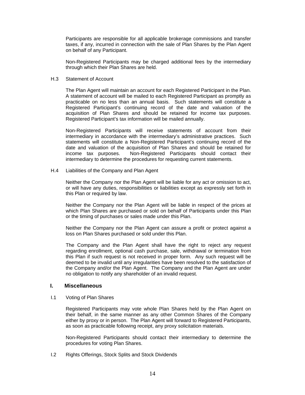Participants are responsible for all applicable brokerage commissions and transfer taxes, if any, incurred in connection with the sale of Plan Shares by the Plan Agent on behalf of any Participant.

 Non-Registered Participants may be charged additional fees by the intermediary through which their Plan Shares are held.

#### H.3 Statement of Account

The Plan Agent will maintain an account for each Registered Participant in the Plan. A statement of account will be mailed to each Registered Participant as promptly as practicable on no less than an annual basis. Such statements will constitute a Registered Participant's continuing record of the date and valuation of the acquisition of Plan Shares and should be retained for income tax purposes. Registered Participant's tax information will be mailed annually.

Non-Registered Participants will receive statements of account from their intermediary in accordance with the intermediary's administrative practices. Such statements will constitute a Non-Registered Participant's continuing record of the date and valuation of the acquisition of Plan Shares and should be retained for income tax purposes. Non-Registered Participants should contact their Non-Registered Participants should contact their intermediary to determine the procedures for requesting current statements.

H.4 Liabilities of the Company and Plan Agent

Neither the Company nor the Plan Agent will be liable for any act or omission to act, or will have any duties, responsibilities or liabilities except as expressly set forth in this Plan or required by law.

Neither the Company nor the Plan Agent will be liable in respect of the prices at which Plan Shares are purchased or sold on behalf of Participants under this Plan or the timing of purchases or sales made under this Plan.

Neither the Company nor the Plan Agent can assure a profit or protect against a loss on Plan Shares purchased or sold under this Plan.

The Company and the Plan Agent shall have the right to reject any request regarding enrollment, optional cash purchase, sale, withdrawal or termination from this Plan if such request is not received in proper form. Any such request will be deemed to be invalid until any irregularities have been resolved to the satisfaction of the Company and/or the Plan Agent. The Company and the Plan Agent are under no obligation to notify any shareholder of an invalid request.

#### **I. Miscellaneous**

I.1 Voting of Plan Shares

Registered Participants may vote whole Plan Shares held by the Plan Agent on their behalf, in the same manner as any other Common Shares of the Company either by proxy or in person. The Plan Agent will forward to Registered Participants, as soon as practicable following receipt, any proxy solicitation materials.

Non-Registered Participants should contact their intermediary to determine the procedures for voting Plan Shares.

I.2 Rights Offerings, Stock Splits and Stock Dividends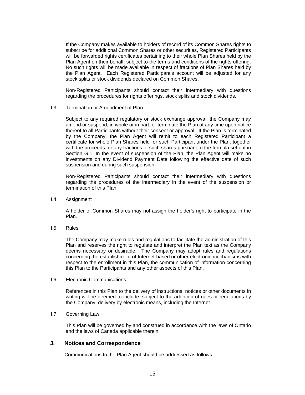If the Company makes available to holders of record of its Common Shares rights to subscribe for additional Common Shares or other securities, Registered Participants will be forwarded rights certificates pertaining to their whole Plan Shares held by the Plan Agent on their behalf, subject to the terms and conditions of the rights offering. No such rights will be made available in respect of fractions of Plan Shares held by the Plan Agent. Each Registered Participant's account will be adjusted for any stock splits or stock dividends declared on Common Shares.

Non-Registered Participants should contact their intermediary with questions regarding the procedures for rights offerings, stock splits and stock dividends.

I.3 Termination or Amendment of Plan

Subject to any required regulatory or stock exchange approval, the Company may amend or suspend, in whole or in part, or terminate the Plan at any time upon notice thereof to all Participants without their consent or approval. If the Plan is terminated by the Company, the Plan Agent will remit to each Registered Participant a certificate for whole Plan Shares held for such Participant under the Plan, together with the proceeds for any fractions of such shares pursuant to the formula set out in Section G.1. In the event of suspension of the Plan, the Plan Agent will make no investments on any Dividend Payment Date following the effective date of such suspension and during such suspension.

Non-Registered Participants should contact their intermediary with questions regarding the procedures of the intermediary in the event of the suspension or termination of this Plan.

I.4 Assignment

A holder of Common Shares may not assign the holder's right to participate in the Plan.

I.5 Rules

The Company may make rules and regulations to facilitate the administration of this Plan and reserves the right to regulate and interpret the Plan text as the Company deems necessary or desirable. The Company may adopt rules and regulations concerning the establishment of Internet-based or other electronic mechanisms with respect to the enrollment in this Plan, the communication of information concerning this Plan to the Participants and any other aspects of this Plan.

I.6 Electronic Communications

References in this Plan to the delivery of instructions, notices or other documents in writing will be deemed to include, subject to the adoption of rules or regulations by the Company, delivery by electronic means, including the Internet.

I.7 Governing Law

This Plan will be governed by and construed in accordance with the laws of Ontario and the laws of Canada applicable therein.

# **J. Notices and Correspondence**

Communications to the Plan Agent should be addressed as follows: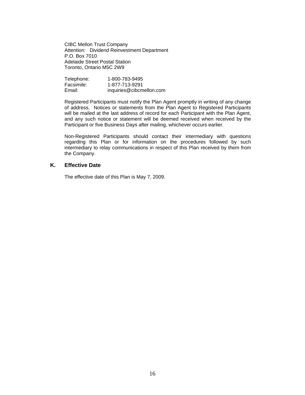CIBC Mellon Trust Company Attention: Dividend Reinvestment Department P.O. Box 7010 Adelaide Street Postal Station Toronto, Ontario M5C 2W9

| Telephone: | 1-800-783-9495           |
|------------|--------------------------|
| Facsimile: | 1-877-713-9291           |
| Email:     | inquiries@cibcmellon.com |

Registered Participants must notify the Plan Agent promptly in writing of any change of address. Notices or statements from the Plan Agent to Registered Participants will be mailed at the last address of record for each Participant with the Plan Agent, and any such notice or statement will be deemed received when received by the Participant or five Business Days after mailing, whichever occurs earlier.

Non-Registered Participants should contact their intermediary with questions regarding this Plan or for information on the procedures followed by such intermediary to relay communications in respect of this Plan received by them from the Company.

# **K. Effective Date**

The effective date of this Plan is May 7, 2009.